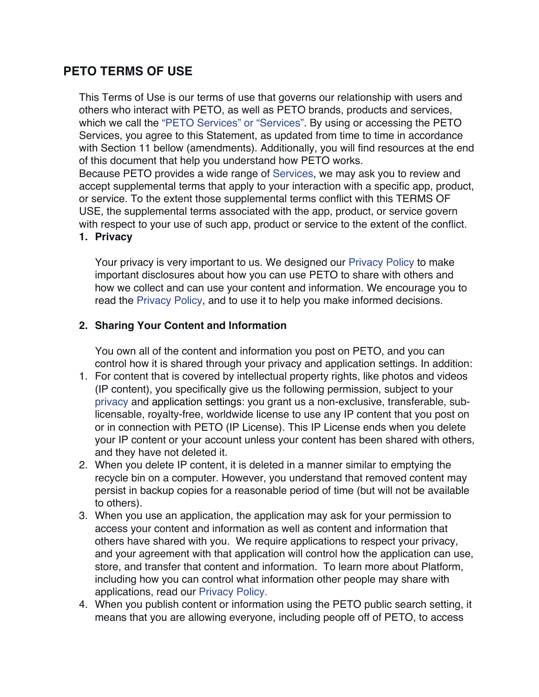# **PETO TERMS OF USE**

This Terms of Use is our terms of use that governs our relationship with users and others who interact with PETO, as well as PETO brands, products and services, which we call the "PETO Services" or "Services". By using or accessing the PETO Services, you agree to this Statement, as updated from time to time in accordance with Section 11 bellow (amendments). Additionally, you will find resources at the end of this document that help you understand how PETO works.

Because PETO provides a wide range of Services, we may ask you to review and accept supplemental terms that apply to your interaction with a specific app, product, or service. To the extent those supplemental terms conflict with this TERMS OF USE, the supplemental terms associated with the app, product, or service govern with respect to your use of such app, product or service to the extent of the conflict. **1. Privacy**

Your privacy is very important to us. We designed our Privacy Policy to make important disclosures about how you can use PETO to share with others and how we collect and can use your content and information. We encourage you to read the Privacy Policy, and to use it to help you make informed decisions.

## **2. Sharing Your Content and Information**

You own all of the content and information you post on PETO, and you can control how it is shared through your privacy and application settings. In addition:

- 1. For content that is covered by intellectual property rights, like photos and videos (IP content), you specifically give us the following permission, subject to your privacy and application settings: you grant us a non-exclusive, transferable, sublicensable, royalty-free, worldwide license to use any IP content that you post on or in connection with PETO (IP License). This IP License ends when you delete your IP content or your account unless your content has been shared with others, and they have not deleted it.
- 2. When you delete IP content, it is deleted in a manner similar to emptying the recycle bin on a computer. However, you understand that removed content may persist in backup copies for a reasonable period of time (but will not be available to others).
- 3. When you use an application, the application may ask for your permission to access your content and information as well as content and information that others have shared with you. We require applications to respect your privacy, and your agreement with that application will control how the application can use, store, and transfer that content and information. To learn more about Platform, including how you can control what information other people may share with applications, read our Privacy Policy.
- 4. When you publish content or information using the PETO public search setting, it means that you are allowing everyone, including people off of PETO, to access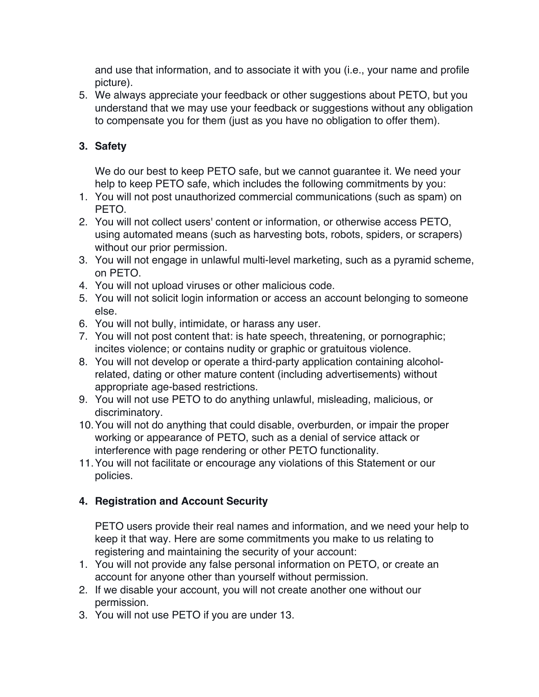and use that information, and to associate it with you (i.e., your name and profile picture).

5. We always appreciate your feedback or other suggestions about PETO, but you understand that we may use your feedback or suggestions without any obligation to compensate you for them (just as you have no obligation to offer them).

# **3. Safety**

We do our best to keep PETO safe, but we cannot guarantee it. We need your help to keep PETO safe, which includes the following commitments by you:

- 1. You will not post unauthorized commercial communications (such as spam) on PETO.
- 2. You will not collect users' content or information, or otherwise access PETO, using automated means (such as harvesting bots, robots, spiders, or scrapers) without our prior permission.
- 3. You will not engage in unlawful multi-level marketing, such as a pyramid scheme, on PETO.
- 4. You will not upload viruses or other malicious code.
- 5. You will not solicit login information or access an account belonging to someone else.
- 6. You will not bully, intimidate, or harass any user.
- 7. You will not post content that: is hate speech, threatening, or pornographic; incites violence; or contains nudity or graphic or gratuitous violence.
- 8. You will not develop or operate a third-party application containing alcoholrelated, dating or other mature content (including advertisements) without appropriate age-based restrictions.
- 9. You will not use PETO to do anything unlawful, misleading, malicious, or discriminatory.
- 10.You will not do anything that could disable, overburden, or impair the proper working or appearance of PETO, such as a denial of service attack or interference with page rendering or other PETO functionality.
- 11.You will not facilitate or encourage any violations of this Statement or our policies.

# **4. Registration and Account Security**

PETO users provide their real names and information, and we need your help to keep it that way. Here are some commitments you make to us relating to registering and maintaining the security of your account:

- 1. You will not provide any false personal information on PETO, or create an account for anyone other than yourself without permission.
- 2. If we disable your account, you will not create another one without our permission.
- 3. You will not use PETO if you are under 13.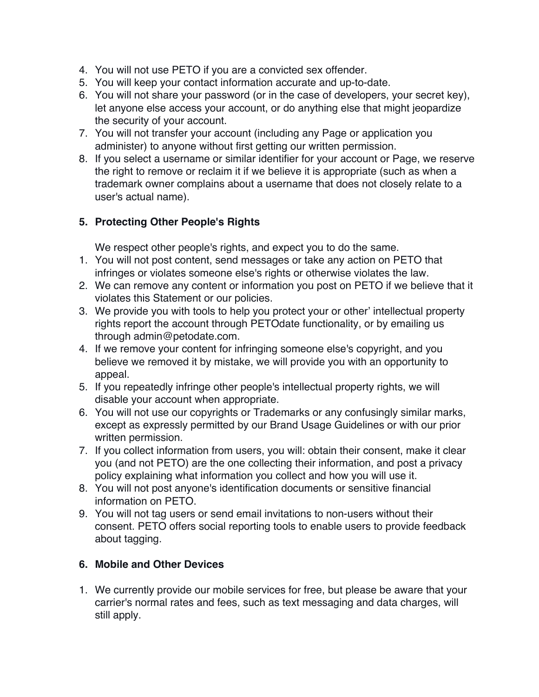- 4. You will not use PETO if you are a convicted sex offender.
- 5. You will keep your contact information accurate and up-to-date.
- 6. You will not share your password (or in the case of developers, your secret key), let anyone else access your account, or do anything else that might jeopardize the security of your account.
- 7. You will not transfer your account (including any Page or application you administer) to anyone without first getting our written permission.
- 8. If you select a username or similar identifier for your account or Page, we reserve the right to remove or reclaim it if we believe it is appropriate (such as when a trademark owner complains about a username that does not closely relate to a user's actual name).

## **5. Protecting Other People's Rights**

We respect other people's rights, and expect you to do the same.

- 1. You will not post content, send messages or take any action on PETO that infringes or violates someone else's rights or otherwise violates the law.
- 2. We can remove any content or information you post on PETO if we believe that it violates this Statement or our policies.
- 3. We provide you with tools to help you protect your or other' intellectual property rights report the account through PETOdate functionality, or by emailing us through admin@petodate.com.
- 4. If we remove your content for infringing someone else's copyright, and you believe we removed it by mistake, we will provide you with an opportunity to appeal.
- 5. If you repeatedly infringe other people's intellectual property rights, we will disable your account when appropriate.
- 6. You will not use our copyrights or Trademarks or any confusingly similar marks, except as expressly permitted by our Brand Usage Guidelines or with our prior written permission.
- 7. If you collect information from users, you will: obtain their consent, make it clear you (and not PETO) are the one collecting their information, and post a privacy policy explaining what information you collect and how you will use it.
- 8. You will not post anyone's identification documents or sensitive financial information on PETO.
- 9. You will not tag users or send email invitations to non-users without their consent. PETO offers social reporting tools to enable users to provide feedback about tagging.

# **6. Mobile and Other Devices**

1. We currently provide our mobile services for free, but please be aware that your carrier's normal rates and fees, such as text messaging and data charges, will still apply.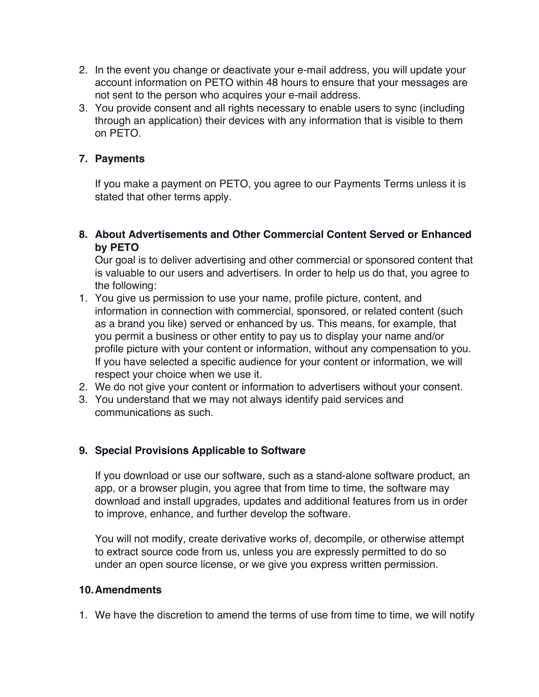- 2. In the event you change or deactivate your e-mail address, you will update your account information on PETO within 48 hours to ensure that your messages are not sent to the person who acquires your e-mail address.
- 3. You provide consent and all rights necessary to enable users to sync (including through an application) their devices with any information that is visible to them on PETO.

## **7. Payments**

If you make a payment on PETO, you agree to our Payments Terms unless it is stated that other terms apply.

**8. About Advertisements and Other Commercial Content Served or Enhanced by PETO**

Our goal is to deliver advertising and other commercial or sponsored content that is valuable to our users and advertisers. In order to help us do that, you agree to the following:

- 1. You give us permission to use your name, profile picture, content, and information in connection with commercial, sponsored, or related content (such as a brand you like) served or enhanced by us. This means, for example, that you permit a business or other entity to pay us to display your name and/or profile picture with your content or information, without any compensation to you. If you have selected a specific audience for your content or information, we will respect your choice when we use it.
- 2. We do not give your content or information to advertisers without your consent.
- 3. You understand that we may not always identify paid services and communications as such.

## **9. Special Provisions Applicable to Software**

If you download or use our software, such as a stand-alone software product, an app, or a browser plugin, you agree that from time to time, the software may download and install upgrades, updates and additional features from us in order to improve, enhance, and further develop the software.

You will not modify, create derivative works of, decompile, or otherwise attempt to extract source code from us, unless you are expressly permitted to do so under an open source license, or we give you express written permission.

### **10.Amendments**

1. We have the discretion to amend the terms of use from time to time, we will notify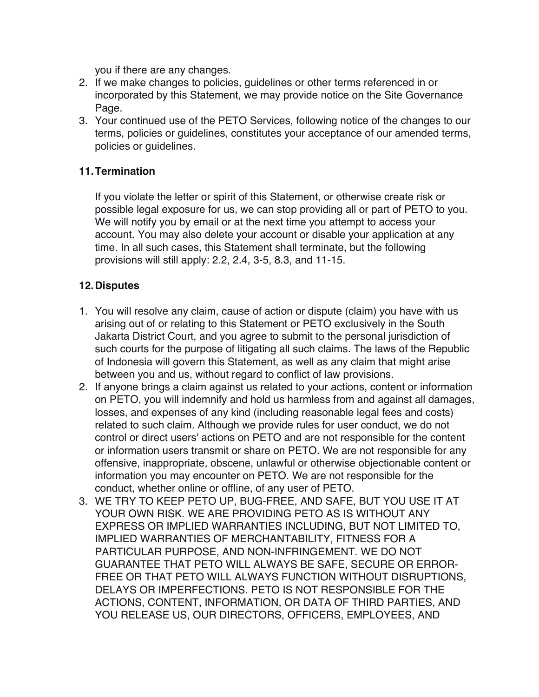you if there are any changes.

- 2. If we make changes to policies, guidelines or other terms referenced in or incorporated by this Statement, we may provide notice on the Site Governance Page.
- 3. Your continued use of the PETO Services, following notice of the changes to our terms, policies or guidelines, constitutes your acceptance of our amended terms, policies or guidelines.

## **11.Termination**

If you violate the letter or spirit of this Statement, or otherwise create risk or possible legal exposure for us, we can stop providing all or part of PETO to you. We will notify you by email or at the next time you attempt to access your account. You may also delete your account or disable your application at any time. In all such cases, this Statement shall terminate, but the following provisions will still apply: 2.2, 2.4, 3-5, 8.3, and 11-15.

## **12.Disputes**

- 1. You will resolve any claim, cause of action or dispute (claim) you have with us arising out of or relating to this Statement or PETO exclusively in the South Jakarta District Court, and you agree to submit to the personal jurisdiction of such courts for the purpose of litigating all such claims. The laws of the Republic of Indonesia will govern this Statement, as well as any claim that might arise between you and us, without regard to conflict of law provisions.
- 2. If anyone brings a claim against us related to your actions, content or information on PETO, you will indemnify and hold us harmless from and against all damages, losses, and expenses of any kind (including reasonable legal fees and costs) related to such claim. Although we provide rules for user conduct, we do not control or direct users' actions on PETO and are not responsible for the content or information users transmit or share on PETO. We are not responsible for any offensive, inappropriate, obscene, unlawful or otherwise objectionable content or information you may encounter on PETO. We are not responsible for the conduct, whether online or offline, of any user of PETO.
- 3. WE TRY TO KEEP PETO UP, BUG-FREE, AND SAFE, BUT YOU USE IT AT YOUR OWN RISK. WE ARE PROVIDING PETO AS IS WITHOUT ANY EXPRESS OR IMPLIED WARRANTIES INCLUDING, BUT NOT LIMITED TO, IMPLIED WARRANTIES OF MERCHANTABILITY, FITNESS FOR A PARTICULAR PURPOSE, AND NON-INFRINGEMENT. WE DO NOT GUARANTEE THAT PETO WILL ALWAYS BE SAFE, SECURE OR ERROR-FREE OR THAT PETO WILL ALWAYS FUNCTION WITHOUT DISRUPTIONS, DELAYS OR IMPERFECTIONS. PETO IS NOT RESPONSIBLE FOR THE ACTIONS, CONTENT, INFORMATION, OR DATA OF THIRD PARTIES, AND YOU RELEASE US, OUR DIRECTORS, OFFICERS, EMPLOYEES, AND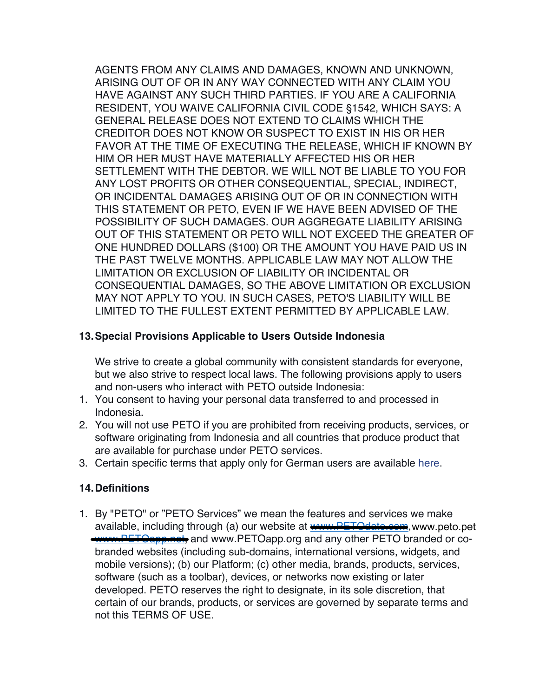AGENTS FROM ANY CLAIMS AND DAMAGES, KNOWN AND UNKNOWN, ARISING OUT OF OR IN ANY WAY CONNECTED WITH ANY CLAIM YOU HAVE AGAINST ANY SUCH THIRD PARTIES. IF YOU ARE A CALIFORNIA RESIDENT, YOU WAIVE CALIFORNIA CIVIL CODE §1542, WHICH SAYS: A GENERAL RELEASE DOES NOT EXTEND TO CLAIMS WHICH THE CREDITOR DOES NOT KNOW OR SUSPECT TO EXIST IN HIS OR HER FAVOR AT THE TIME OF EXECUTING THE RELEASE, WHICH IF KNOWN BY HIM OR HER MUST HAVE MATERIALLY AFFECTED HIS OR HER SETTLEMENT WITH THE DEBTOR. WE WILL NOT BE LIABLE TO YOU FOR ANY LOST PROFITS OR OTHER CONSEQUENTIAL, SPECIAL, INDIRECT, OR INCIDENTAL DAMAGES ARISING OUT OF OR IN CONNECTION WITH THIS STATEMENT OR PETO, EVEN IF WE HAVE BEEN ADVISED OF THE POSSIBILITY OF SUCH DAMAGES. OUR AGGREGATE LIABILITY ARISING OUT OF THIS STATEMENT OR PETO WILL NOT EXCEED THE GREATER OF ONE HUNDRED DOLLARS (\$100) OR THE AMOUNT YOU HAVE PAID US IN THE PAST TWELVE MONTHS. APPLICABLE LAW MAY NOT ALLOW THE LIMITATION OR EXCLUSION OF LIABILITY OR INCIDENTAL OR CONSEQUENTIAL DAMAGES, SO THE ABOVE LIMITATION OR EXCLUSION MAY NOT APPLY TO YOU. IN SUCH CASES, PETO'S LIABILITY WILL BE LIMITED TO THE FULLEST EXTENT PERMITTED BY APPLICABLE LAW.

### **13.Special Provisions Applicable to Users Outside Indonesia**

We strive to create a global community with consistent standards for everyone, but we also strive to respect local laws. The following provisions apply to users and non-users who interact with PETO outside Indonesia:

- 1. You consent to having your personal data transferred to and processed in Indonesia.
- 2. You will not use PETO if you are prohibited from receiving products, services, or software originating from Indonesia and all countries that produce product that are available for purchase under PETO services.
- 3. Certain specific terms that apply only for German users are available here.

### **14.Definitions**

1. By "PETO" or "PETO Services" we mean the features and services we make available, including through (a) our website at **www.PETOdate.com**, www.peto.pet www.PETOapp.net, and www.PETOapp.org and any other PETO branded or cobranded websites (including sub-domains, international versions, widgets, and mobile versions); (b) our Platform; (c) other media, brands, products, services, software (such as a toolbar), devices, or networks now existing or later developed. PETO reserves the right to designate, in its sole discretion, that certain of our brands, products, or services are governed by separate terms and not this TERMS OF USE.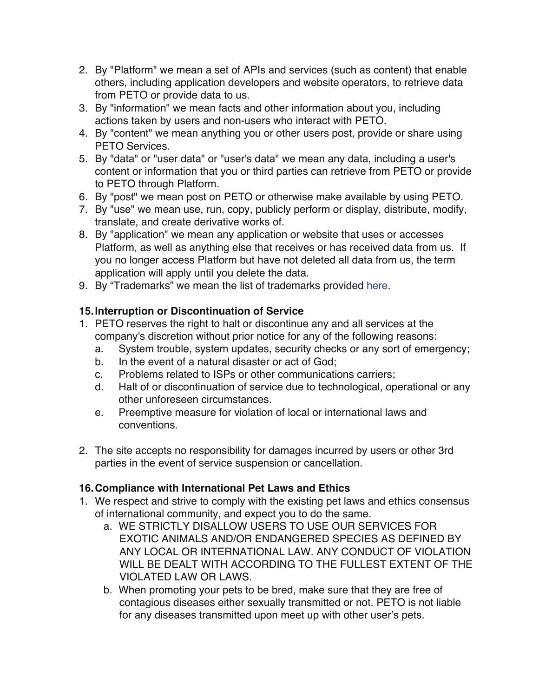- 2. By "Platform" we mean a set of APIs and services (such as content) that enable others, including application developers and website operators, to retrieve data from PETO or provide data to us.
- 3. By "information" we mean facts and other information about you, including actions taken by users and non-users who interact with PETO.
- 4. By "content" we mean anything you or other users post, provide or share using PETO Services.
- 5. By "data" or "user data" or "user's data" we mean any data, including a user's content or information that you or third parties can retrieve from PETO or provide to PETO through Platform.
- 6. By "post" we mean post on PETO or otherwise make available by using PETO.
- 7. By "use" we mean use, run, copy, publicly perform or display, distribute, modify, translate, and create derivative works of.
- 8. By "application" we mean any application or website that uses or accesses Platform, as well as anything else that receives or has received data from us. If you no longer access Platform but have not deleted all data from us, the term application will apply until you delete the data.
- 9. By "Trademarks" we mean the list of trademarks provided here.

## **15.Interruption or Discontinuation of Service**

- 1. PETO reserves the right to halt or discontinue any and all services at the company's discretion without prior notice for any of the following reasons:
	- a. System trouble, system updates, security checks or any sort of emergency;
	- b. In the event of a natural disaster or act of God;
	- c. Problems related to ISPs or other communications carriers;
	- d. Halt of or discontinuation of service due to technological, operational or any other unforeseen circumstances.
	- e. Preemptive measure for violation of local or international laws and conventions.
- 2. The site accepts no responsibility for damages incurred by users or other 3rd parties in the event of service suspension or cancellation.

# **16.Compliance with International Pet Laws and Ethics**

- 1. We respect and strive to comply with the existing pet laws and ethics consensus of international community, and expect you to do the same.
	- a. WE STRICTLY DISALLOW USERS TO USE OUR SERVICES FOR EXOTIC ANIMALS AND/OR ENDANGERED SPECIES AS DEFINED BY ANY LOCAL OR INTERNATIONAL LAW. ANY CONDUCT OF VIOLATION WILL BE DEALT WITH ACCORDING TO THE FULLEST EXTENT OF THE VIOLATED LAW OR LAWS.
	- b. When promoting your pets to be bred, make sure that they are free of contagious diseases either sexually transmitted or not. PETO is not liable for any diseases transmitted upon meet up with other user's pets.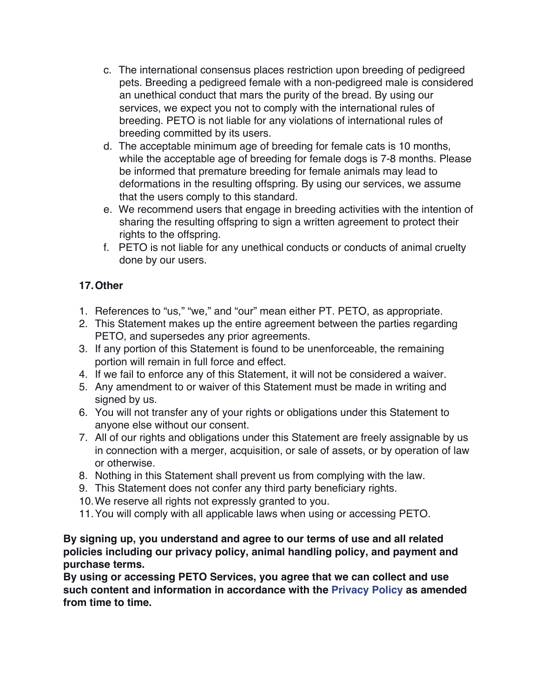- c. The international consensus places restriction upon breeding of pedigreed pets. Breeding a pedigreed female with a non-pedigreed male is considered an unethical conduct that mars the purity of the bread. By using our services, we expect you not to comply with the international rules of breeding. PETO is not liable for any violations of international rules of breeding committed by its users.
- d. The acceptable minimum age of breeding for female cats is 10 months, while the acceptable age of breeding for female dogs is 7-8 months. Please be informed that premature breeding for female animals may lead to deformations in the resulting offspring. By using our services, we assume that the users comply to this standard.
- e. We recommend users that engage in breeding activities with the intention of sharing the resulting offspring to sign a written agreement to protect their rights to the offspring.
- f. PETO is not liable for any unethical conducts or conducts of animal cruelty done by our users.

# **17.Other**

- 1. References to "us," "we," and "our" mean either PT. PETO, as appropriate.
- 2. This Statement makes up the entire agreement between the parties regarding PETO, and supersedes any prior agreements.
- 3. If any portion of this Statement is found to be unenforceable, the remaining portion will remain in full force and effect.
- 4. If we fail to enforce any of this Statement, it will not be considered a waiver.
- 5. Any amendment to or waiver of this Statement must be made in writing and signed by us.
- 6. You will not transfer any of your rights or obligations under this Statement to anyone else without our consent.
- 7. All of our rights and obligations under this Statement are freely assignable by us in connection with a merger, acquisition, or sale of assets, or by operation of law or otherwise.
- 8. Nothing in this Statement shall prevent us from complying with the law.
- 9. This Statement does not confer any third party beneficiary rights.
- 10.We reserve all rights not expressly granted to you.
- 11.You will comply with all applicable laws when using or accessing PETO.

## **By signing up, you understand and agree to our terms of use and all related policies including our privacy policy, animal handling policy, and payment and purchase terms.**

**By using or accessing PETO Services, you agree that we can collect and use such content and information in accordance with the Privacy Policy as amended from time to time.**